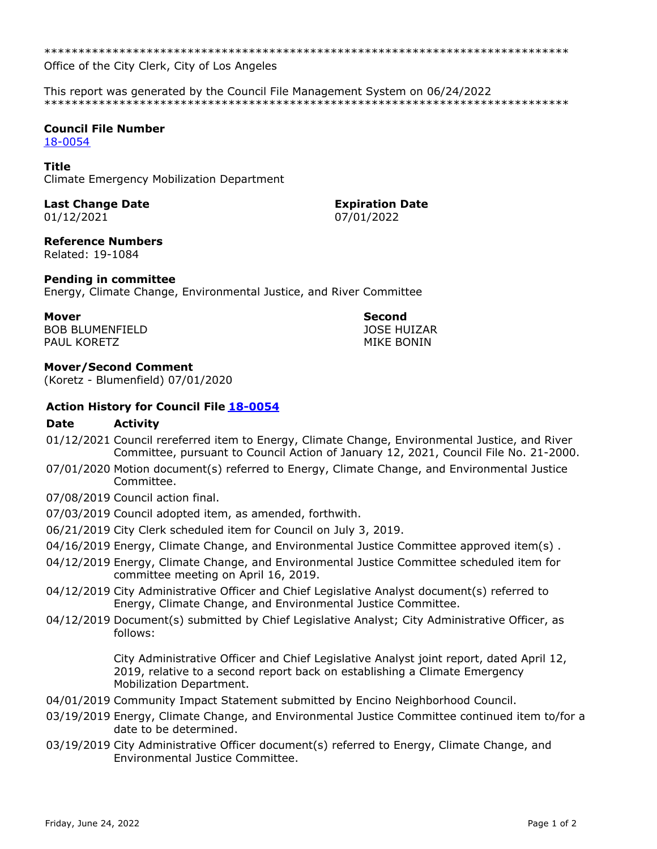\*\*\*\*\*\*\*\*\*\*\*\*\*\*\*\*\*\*\*\*\*\*\*\*\*\*\*\*\*\*\*\*\*\*\*\*\*\*\*\*\*\*\*\*\*\*\*\*\*\*\*\*\*\*\*\*\*\*\*\*\*\*\*\*\*\*\*\*\*\*\*\*\*\*\*\*\*

Office of the City Clerk, City of Los Angeles

This report was generated by the Council File Management System on 06/24/2022 \*\*\*\*\*\*\*\*\*\*\*\*\*\*\*\*\*\*\*\*\*\*\*\*\*\*\*\*\*\*\*\*\*\*\*\*\*\*\*\*\*\*\*\*\*\*\*\*\*\*\*\*\*\*\*\*\*\*\*\*\*\*\*\*\*\*\*\*\*\*\*\*\*\*\*\*\*

### **Council File Number**

[18-0054](https://cityclerk.lacity.org/lacityclerkconnect/index.cfm?fa=ccfi.viewrecord&cfnumber=18-0054)

#### **Title**

Climate Emergency Mobilization Department

## **Last Change Date Expiration Date**

# 01/12/2021 07/01/2022

**Reference Numbers**

Related: 19-1084

#### **Pending in committee**

Energy, Climate Change, Environmental Justice, and River Committee

#### **Mover Second** BOB BLUMENFIELD PAUL KORETZ

JOSE HUIZAR MIKE BONIN

#### **Mover/Second Comment**

(Koretz - Blumenfield) 07/01/2020

#### **Action History for Council File [18-0054](https://cityclerk.lacity.org/lacityclerkconnect/index.cfm?fa=ccfi.viewrecord&cfnumber=18-0054)**

#### **Date Activity**

- 01/12/2021 Council rereferred item to Energy, Climate Change, Environmental Justice, and River Committee, pursuant to Council Action of January 12, 2021, Council File No. 21-2000.
- 07/01/2020 Motion document(s) referred to Energy, Climate Change, and Environmental Justice Committee.
- 07/08/2019 Council action final.
- 07/03/2019 Council adopted item, as amended, forthwith.
- 06/21/2019 City Clerk scheduled item for Council on July 3, 2019.
- 04/16/2019 Energy, Climate Change, and Environmental Justice Committee approved item(s).
- 04/12/2019 Energy, Climate Change, and Environmental Justice Committee scheduled item for committee meeting on April 16, 2019.
- 04/12/2019 City Administrative Officer and Chief Legislative Analyst document(s) referred to Energy, Climate Change, and Environmental Justice Committee.
- 04/12/2019 Document(s) submitted by Chief Legislative Analyst; City Administrative Officer, as follows:

City Administrative Officer and Chief Legislative Analyst joint report, dated April 12, 2019, relative to a second report back on establishing a Climate Emergency Mobilization Department.

- 04/01/2019 Community Impact Statement submitted by Encino Neighborhood Council.
- 03/19/2019 Energy, Climate Change, and Environmental Justice Committee continued item to/for a date to be determined.
- 03/19/2019 City Administrative Officer document(s) referred to Energy, Climate Change, and Environmental Justice Committee.